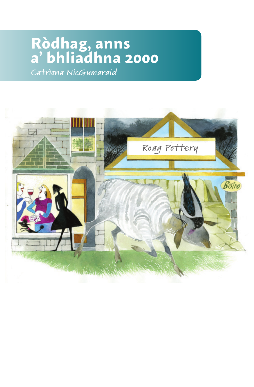# **Ròdhag, anns a' bhliadhna 2000**

Catrìona NicGumaraid

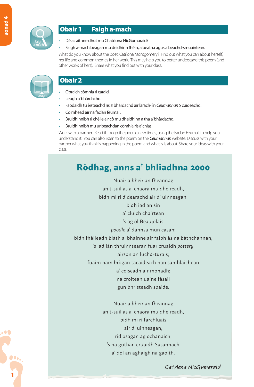**1**

 $\bullet$ 



Leugh

## Obair 1 Faigh a-mach

- Dè as aithne dhut mu Chatrìona NicGumaraid?
- Faigh a-mach beagan mu deidhinn fhèin, a beatha agus a beachd-smuaintean.

What do you know about the poet. Catriona Montgomery? Find out what you can about herself: her life and common themes in her work. This may help you to better understand this poem (and other works of hers). Share what you find out with your class.

# Obair 2

- Obraich còmhla ri caraid.
- Leugh a' bhàrdachd.
- Faodaidh tu èisteachd ris a' bhàrdachd air làrach-lìn *Ceumannan 5* cuideachd.
- Coimhead air na faclan feumail.
- Bruidhinnibh ri chèile air cò mu dheidhinn a tha a' bhàrdachd.
- Bruidhinnibh mu ur beachdan còmhla ris a' chlas.

Work with a partner. Read through the poem a few times, using the Faclan Feumail to help you understand it. You can also listen to the poem on the *Ceumannan* website. Discuss with your partner what you think is happening in the poem and what is is about. Share your ideas with your class.

# **Ròdhag, anns a' bhliadhna 2000**

Nuair a bheir an fheannag an t-sùil às a' chaora mu dheireadh,

bidh mi ri dìdearachd air d' uinneagan: bidh iad an sin a' cluich chairtean 's ag òl Beaujolais *poodle* a' dannsa mun casan; bidh fhàileadh blàth a' bhainne air falbh às na bàthchannan, 's iad làn thruinnsearan fuar cruaidh *pottery* airson an luchd-turais; fuaim nam brògan tacaideach nan samhlaichean a' coiseadh air monadh; na croitean uaine fàsail gun bhristeadh spaide. Nuair a bheir an fheannag an t-sùil às a' chaora mu dheireadh, bidh mi ri farchluais air d' uinneagan, rid osagan ag ochanaich, 's na guthan cruaidh Sasannach a' dol an aghaigh na gaoith.

Catrìona NicGumaraid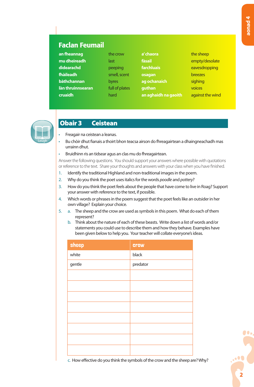# Faclan Feumail

| an fheannag       | the crow       | a' chaora            | the sheep        |
|-------------------|----------------|----------------------|------------------|
| mu dheireadh      | last           | fàsail               | empty/desolate   |
| didearachd        | peeping        | farchluais           | eavesdropping    |
| fhàileadh         | smell, scent   | osagan               | <b>breezes</b>   |
| bàthchannan       | byres          | ag ochanaich         | sighing          |
| làn thruinnsearan | full of plates | guthan               | voices           |
| <b>cruaidh</b>    | hard           | an aghaidh na gaoith | against the wind |
|                   |                |                      |                  |



#### Obair 3 Ceistean

- Freagair na ceistean a leanas.
- Bu chòir dhut fianais a thoirt bhon teacsa airson do fhreagairtean a dhaingneachadh mas urrainn dhut.
- Bruidhinn ris an tidsear agus an clas mu do fhreagairtean.

Answer the following questions. You should support your answers where possible with quotations or reference to the text. Share your thoughts and answers with your class when you have finished.

- 1. Identify the traditional Highland and non-traditional images in the poem.
- 2. Why do you think the poet uses italics for the words *poodle* and *pottery*?
- 3. How do you think the poet feels about the people that have come to live in Roag? Support your answer with reference to the text, if possible.
- 4. Which words or phrases in the poem suggest that the poet feels like an outsider in her own village? Explain your choice.
- 5. a. The sheep and the crow are used as symbols in this poem. What do each of them represent?
	- b. Think about the nature of each of these beasts. Write down a list of words and/or statements you could use to describe them and how they behave. Examples have been given below to help you. Your teacher will collate everyone's ideas.

| sheep  | <b>Crow</b> |
|--------|-------------|
| white  | black       |
| gentle | predator    |
|        |             |
|        |             |
|        |             |
|        |             |
|        |             |
|        |             |
|        |             |
|        |             |

c. How effective do you think the symbols of the crow and the sheep are? Why?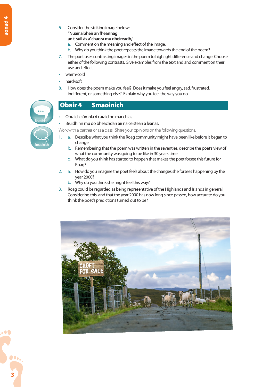6. Consider the striking image below: **"Nuair a bheir an fheannag**

#### **an t-sùil às a' chaora mu dheireadh,"**

- a. Comment on the meaning and effect of the image.
- b. Why do you think the poet repeats the image towards the end of the poem?
- 7. The poet uses contrasting images in the poem to highlight difference and change. Choose either of the following contrasts. Give examples from the text and and comment on their use and effect.
- warm/cold
- hard/soft
- 8. How does the poem make you feel? Does it make you feel angry, sad, frustrated, indifferent, or something else? Explain why you feel the way you do.

# Smaoinich **Bruidhinn**

# Obair 4 Smaoinich

- Obraich còmhla ri caraid no mar chlas.
- Bruidhinn mu do bheachdan air na ceistean a leanas.

Work with a partner or as a class. Share your opinions on the following questions.

- 1. a. Describe what you think the Roag community might have been like before it began to change.
	- b. Remembering that the poem was written in the seventies, describe the poet's view of what the community was going to be like in 30 years time.
	- c. What do you think has started to happen that makes the poet forsee this future for Roag?
- 2. a. How do you imagine the poet feels about the changes she forsees happening by the year 2000?
	- b. Why do you think she might feel this way?
- 3. Roag could be regarded as being representative of the Highlands and Islands in general. Considering this, and that the year 2000 has now long since passed, how accurate do you think the poet's predictions turned out to be?